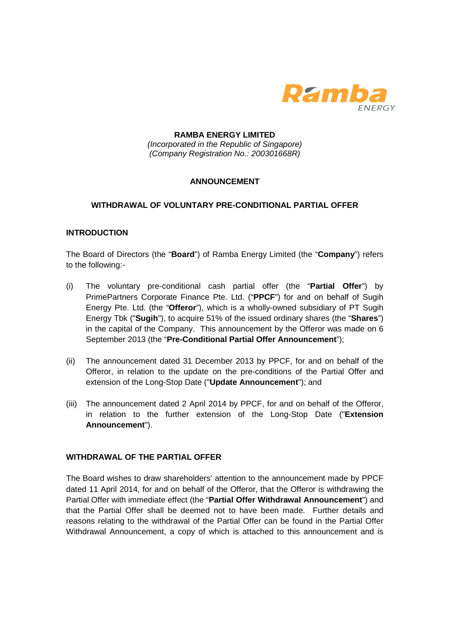

## **RAMBA ENERGY LIMITED**  (Incorporated in the Republic of Singapore) (Company Registration No.: 200301668R)

# **ANNOUNCEMENT**

## **WITHDRAWAL OF VOLUNTARY PRE-CONDITIONAL PARTIAL OFFER**

#### **INTRODUCTION**

The Board of Directors (the "**Board**") of Ramba Energy Limited (the "**Company**") refers to the following:-

- (i) The voluntary pre-conditional cash partial offer (the "**Partial Offer**") by PrimePartners Corporate Finance Pte. Ltd. ("**PPCF**") for and on behalf of Sugih Energy Pte. Ltd. (the "**Offeror**"), which is a wholly-owned subsidiary of PT Sugih Energy Tbk ("**Sugih**"), to acquire 51% of the issued ordinary shares (the "**Shares**") in the capital of the Company. This announcement by the Offeror was made on 6 September 2013 (the "**Pre-Conditional Partial Offer Announcement**");
- (ii) The announcement dated 31 December 2013 by PPCF, for and on behalf of the Offeror, in relation to the update on the pre-conditions of the Partial Offer and extension of the Long-Stop Date ("**Update Announcement**"); and
- (iii) The announcement dated 2 April 2014 by PPCF, for and on behalf of the Offeror, in relation to the further extension of the Long-Stop Date ("**Extension Announcement**").

#### **WITHDRAWAL OF THE PARTIAL OFFER**

The Board wishes to draw shareholders' attention to the announcement made by PPCF dated 11 April 2014, for and on behalf of the Offeror, that the Offeror is withdrawing the Partial Offer with immediate effect (the "**Partial Offer Withdrawal Announcement**") and that the Partial Offer shall be deemed not to have been made. Further details and reasons relating to the withdrawal of the Partial Offer can be found in the Partial Offer Withdrawal Announcement, a copy of which is attached to this announcement and is